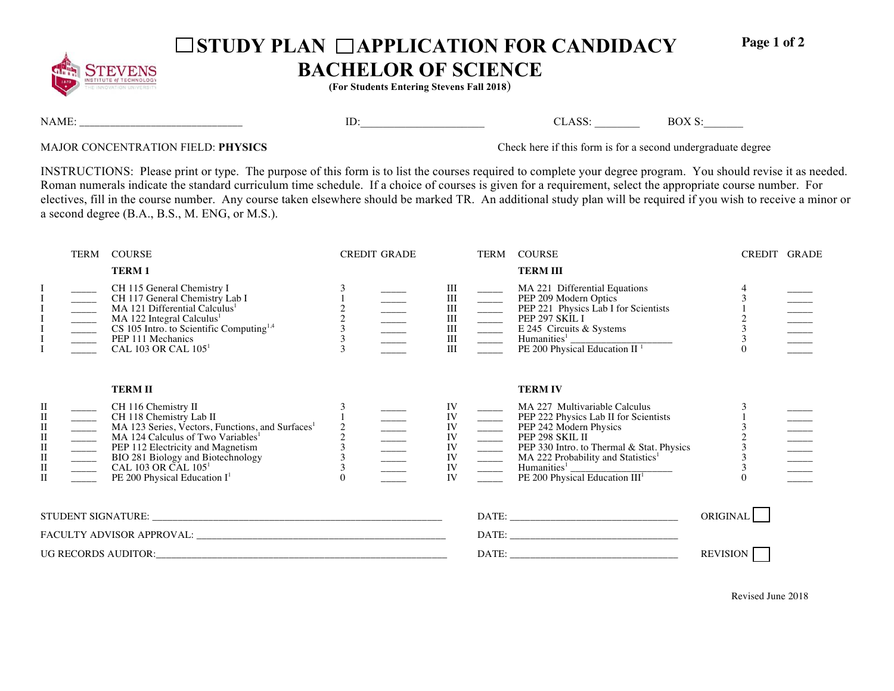

## □ STUDY PLAN □ APPLICATION FOR CANDIDACY

**Page 1 of 2** 

## **BACHELOR OF SCIENCE**

**(For Students Entering Stevens Fall 2018**)

NAME: \_\_\_\_\_\_\_\_\_\_\_\_\_\_\_\_\_\_\_\_\_\_\_\_\_\_\_\_\_\_\_\_ ID:\_\_\_\_\_\_\_\_\_\_\_\_\_\_\_\_\_\_\_\_\_\_ CLASS: \_\_\_\_\_\_\_\_ BOX S:\_\_\_\_\_\_\_

MAJOR CONCENTRATION FIELD: **PHYSICS** Check here if this form is for a second undergraduate degree

INSTRUCTIONS: Please print or type. The purpose of this form is to list the courses required to complete your degree program. You should revise it as needed. Roman numerals indicate the standard curriculum time schedule. If a choice of courses is given for a requirement, select the appropriate course number. For electives, fill in the course number. Any course taken elsewhere should be marked TR. An additional study plan will be required if you wish to receive a minor or a second degree (B.A., B.S., M. ENG, or M.S.).

|                                                                                                                 | TERM | <b>COURSE</b>                                                                                                                                                                                                                                                                                                                    |                                                 | <b>CREDIT GRADE</b> |                                                                             |                                                                                                                                                                                                                                                                                                                                                                                                                                                                                                                                                       | TERM COURSE                                                                                                                                                                                                                                                                                                               | CREDIT GRADE |  |
|-----------------------------------------------------------------------------------------------------------------|------|----------------------------------------------------------------------------------------------------------------------------------------------------------------------------------------------------------------------------------------------------------------------------------------------------------------------------------|-------------------------------------------------|---------------------|-----------------------------------------------------------------------------|-------------------------------------------------------------------------------------------------------------------------------------------------------------------------------------------------------------------------------------------------------------------------------------------------------------------------------------------------------------------------------------------------------------------------------------------------------------------------------------------------------------------------------------------------------|---------------------------------------------------------------------------------------------------------------------------------------------------------------------------------------------------------------------------------------------------------------------------------------------------------------------------|--------------|--|
|                                                                                                                 |      | <b>TERM1</b>                                                                                                                                                                                                                                                                                                                     |                                                 |                     |                                                                             |                                                                                                                                                                                                                                                                                                                                                                                                                                                                                                                                                       | <b>TERM III</b>                                                                                                                                                                                                                                                                                                           |              |  |
|                                                                                                                 |      | CH 115 General Chemistry I<br>CH 117 General Chemistry Lab I<br>MA 121 Differential Calculus <sup>1</sup><br>MA 122 Integral Calculus <sup>1</sup><br>CS 105 Intro. to Scientific Computing <sup>1,4</sup><br>PEP 111 Mechanics<br>CAL 103 OR CAL 105 <sup>1</sup>                                                               | $\begin{array}{c} 2 \\ 2 \\ 3 \\ 3 \end{array}$ |                     | III                                                                         | $\begin{array}{c} \begin{array}{c} \text{III} \\ \text{III} \\ \text{III} \end{array} \\ \begin{array}{c} \begin{array}{c} \text{III} \\ \text{III} \end{array} \\ \begin{array}{c} \text{III} \\ \text{III} \end{array} \\ \begin{array}{c} \end{array} \\ \begin{array}{c} \text{III} \\ \text{III} \end{array} \\ \begin{array}{c} \end{array} \\ \begin{array}{c} \end{array} \\ \begin{array}{c} \end{array} \\ \begin{array}{c} \text{III} \\ \text{III} \end{array} \\ \begin{array}{c} \end{array} \\ \begin{array}{c} \end{array} \\ \begin$ | MA 221 Differential Equations<br>PEP 209 Modern Optics<br>PEP 221 Physics Lab I for Scientists<br>PEP 297 SKIL I<br>E 245 Circuits & Systems<br>Humanities <sup>1</sup> $\frac{1}{\text{PE } 200 \text{ Physical Education II }^{1}}$                                                                                     | 0            |  |
| П<br>$\rm II$<br>$\rm II$<br>$\rm II$<br>$\rm II$<br>$\begin{array}{ll} \Pi \\ \Pi \end{array}$<br>$\mathbf{I}$ |      | <b>TERMII</b><br>CH 116 Chemistry II<br>CH 118 Chemistry Lab II<br>MA 123 Series, Vectors, Functions, and Surfaces <sup>1</sup><br>MA 124 Calculus of Two Variables <sup>1</sup><br>PEP 112 Electricity and Magnetism<br>BIO 281 Biology and Biotechnology<br>CAL 103 OR CAL 105 <sup>1</sup><br>PE 200 Physical Education $I^1$ | $\begin{array}{c} 2 \\ 2 \\ 3 \\ 3 \end{array}$ |                     | IV<br>IV<br>IV<br>${\rm IV}$<br>$\frac{\rm IV}{\rm IV}$<br>${\rm IV}$<br>IV |                                                                                                                                                                                                                                                                                                                                                                                                                                                                                                                                                       | <b>TERM IV</b><br>MA 227 Multivariable Carcunus<br>PEP 222 Physics Lab II for Scientists<br>PEP 242 Modern Physics<br>PEP 298 SKIL II<br>PEP 330 Intro. to Thermal & Stat. P<br>MA 222 Probability and Statistics <sup>1</sup><br>PE 200 Physical Education III <sup>1</sup><br>PEP 330 Intro. to Thermal & Stat. Physics |              |  |
|                                                                                                                 |      |                                                                                                                                                                                                                                                                                                                                  |                                                 |                     |                                                                             |                                                                                                                                                                                                                                                                                                                                                                                                                                                                                                                                                       | ORIGINAL                                                                                                                                                                                                                                                                                                                  |              |  |
|                                                                                                                 |      |                                                                                                                                                                                                                                                                                                                                  |                                                 |                     |                                                                             |                                                                                                                                                                                                                                                                                                                                                                                                                                                                                                                                                       |                                                                                                                                                                                                                                                                                                                           |              |  |
|                                                                                                                 |      |                                                                                                                                                                                                                                                                                                                                  |                                                 |                     |                                                                             |                                                                                                                                                                                                                                                                                                                                                                                                                                                                                                                                                       | <b>REVISION</b>                                                                                                                                                                                                                                                                                                           |              |  |

Revised June 2018